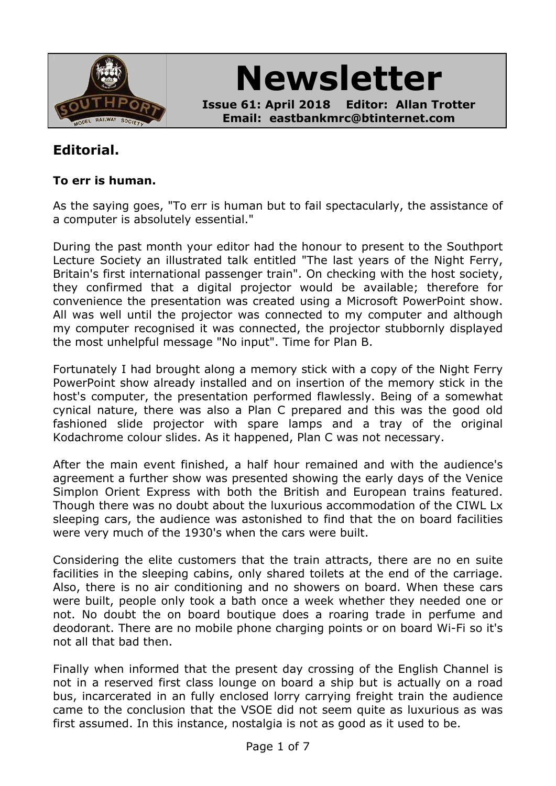

**Newsletter**

**Issue 61: April 2018 Editor: Allan Trotter Email: eastbankmrc@btinternet.com**

# **Editorial.**

#### **To err is human.**

As the saying goes, "To err is human but to fail spectacularly, the assistance of a computer is absolutely essential."

During the past month your editor had the honour to present to the Southport Lecture Society an illustrated talk entitled "The last years of the Night Ferry, Britain's first international passenger train". On checking with the host society, they confirmed that a digital projector would be available; therefore for convenience the presentation was created using a Microsoft PowerPoint show. All was well until the projector was connected to my computer and although my computer recognised it was connected, the projector stubbornly displayed the most unhelpful message "No input". Time for Plan B.

Fortunately I had brought along a memory stick with a copy of the Night Ferry PowerPoint show already installed and on insertion of the memory stick in the host's computer, the presentation performed flawlessly. Being of a somewhat cynical nature, there was also a Plan C prepared and this was the good old fashioned slide projector with spare lamps and a tray of the original Kodachrome colour slides. As it happened, Plan C was not necessary.

After the main event finished, a half hour remained and with the audience's agreement a further show was presented showing the early days of the Venice Simplon Orient Express with both the British and European trains featured. Though there was no doubt about the luxurious accommodation of the CIWL Lx sleeping cars, the audience was astonished to find that the on board facilities were very much of the 1930's when the cars were built.

Considering the elite customers that the train attracts, there are no en suite facilities in the sleeping cabins, only shared toilets at the end of the carriage. Also, there is no air conditioning and no showers on board. When these cars were built, people only took a bath once a week whether they needed one or not. No doubt the on board boutique does a roaring trade in perfume and deodorant. There are no mobile phone charging points or on board Wi-Fi so it's not all that bad then.

Finally when informed that the present day crossing of the English Channel is not in a reserved first class lounge on board a ship but is actually on a road bus, incarcerated in an fully enclosed lorry carrying freight train the audience came to the conclusion that the VSOE did not seem quite as luxurious as was first assumed. In this instance, nostalgia is not as good as it used to be.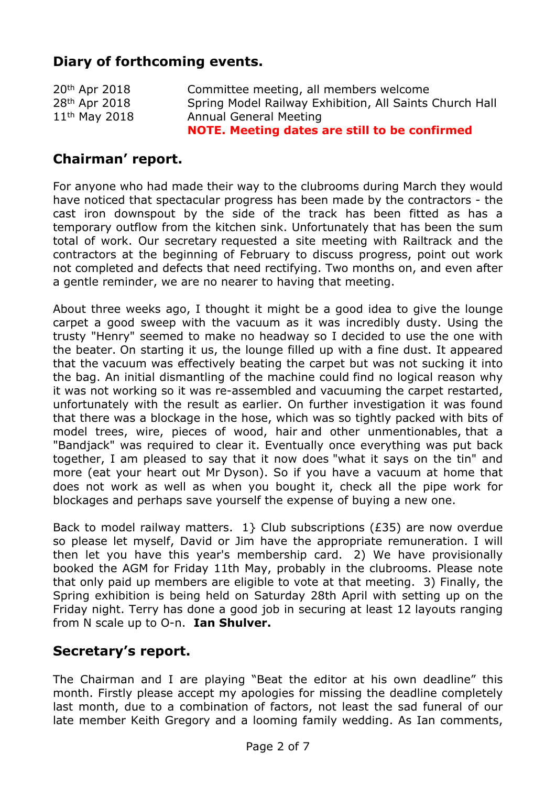# **Diary of forthcoming events.**

|                           | NOTE. Meeting dates are still to be confirmed           |
|---------------------------|---------------------------------------------------------|
| $11th$ May 2018           | Annual General Meeting                                  |
| 28 <sup>th</sup> Apr 2018 | Spring Model Railway Exhibition, All Saints Church Hall |
| 20th Apr 2018             | Committee meeting, all members welcome                  |

## **Chairman' report.**

For anyone who had made their way to the clubrooms during March they would have noticed that spectacular progress has been made by the contractors - the cast iron downspout by the side of the track has been fitted as has a temporary outflow from the kitchen sink. Unfortunately that has been the sum total of work. Our secretary requested a site meeting with Railtrack and the contractors at the beginning of February to discuss progress, point out work not completed and defects that need rectifying. Two months on, and even after a gentle reminder, we are no nearer to having that meeting.

About three weeks ago, I thought it might be a good idea to give the lounge carpet a good sweep with the vacuum as it was incredibly dusty. Using the trusty "Henry" seemed to make no headway so I decided to use the one with the beater. On starting it us, the lounge filled up with a fine dust. It appeared that the vacuum was effectively beating the carpet but was not sucking it into the bag. An initial dismantling of the machine could find no logical reason why it was not working so it was re-assembled and vacuuming the carpet restarted, unfortunately with the result as earlier. On further investigation it was found that there was a blockage in the hose, which was so tightly packed with bits of model trees, wire, pieces of wood, hair and other unmentionables, that a "Bandjack" was required to clear it. Eventually once everything was put back together, I am pleased to say that it now does "what it says on the tin" and more (eat your heart out Mr Dyson). So if you have a vacuum at home that does not work as well as when you bought it, check all the pipe work for blockages and perhaps save yourself the expense of buying a new one.

Back to model railway matters.  $1$ } Club subscriptions (£35) are now overdue so please let myself, David or Jim have the appropriate remuneration. I will then let you have this year's membership card. 2) We have provisionally booked the AGM for Friday 11th May, probably in the clubrooms. Please note that only paid up members are eligible to vote at that meeting. 3) Finally, the Spring exhibition is being held on Saturday 28th April with setting up on the Friday night. Terry has done a good job in securing at least 12 layouts ranging from N scale up to O-n. **Ian Shulver.**

## **Secretary's report.**

The Chairman and I are playing "Beat the editor at his own deadline" this month. Firstly please accept my apologies for missing the deadline completely last month, due to a combination of factors, not least the sad funeral of our late member Keith Gregory and a looming family wedding. As Ian comments,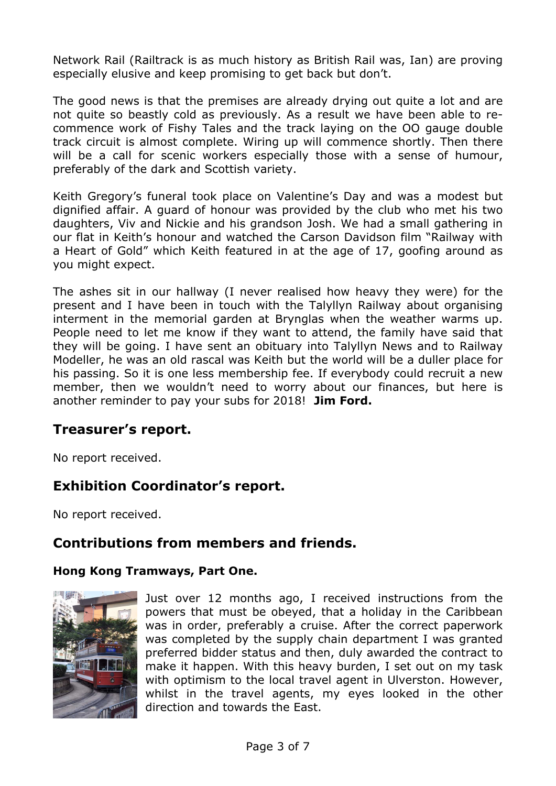Network Rail (Railtrack is as much history as British Rail was, Ian) are proving especially elusive and keep promising to get back but don't.

The good news is that the premises are already drying out quite a lot and are not quite so beastly cold as previously. As a result we have been able to recommence work of Fishy Tales and the track laying on the OO gauge double track circuit is almost complete. Wiring up will commence shortly. Then there will be a call for scenic workers especially those with a sense of humour, preferably of the dark and Scottish variety.

Keith Gregory's funeral took place on Valentine's Day and was a modest but dignified affair. A guard of honour was provided by the club who met his two daughters, Viv and Nickie and his grandson Josh. We had a small gathering in our flat in Keith's honour and watched the Carson Davidson film "Railway with a Heart of Gold" which Keith featured in at the age of 17, goofing around as you might expect.

The ashes sit in our hallway (I never realised how heavy they were) for the present and I have been in touch with the Talyllyn Railway about organising interment in the memorial garden at Brynglas when the weather warms up. People need to let me know if they want to attend, the family have said that they will be going. I have sent an obituary into Talyllyn News and to Railway Modeller, he was an old rascal was Keith but the world will be a duller place for his passing. So it is one less membership fee. If everybody could recruit a new member, then we wouldn't need to worry about our finances, but here is another reminder to pay your subs for 2018! **Jim Ford.**

## **Treasurer's report.**

No report received.

## **Exhibition Coordinator's report.**

No report received.

## **Contributions from members and friends.**

#### **Hong Kong Tramways, Part One.**



Just over 12 months ago, I received instructions from the powers that must be obeyed, that a holiday in the Caribbean was in order, preferably a cruise. After the correct paperwork was completed by the supply chain department I was granted preferred bidder status and then, duly awarded the contract to make it happen. With this heavy burden, I set out on my task with optimism to the local travel agent in Ulverston. However, whilst in the travel agents, my eyes looked in the other direction and towards the East.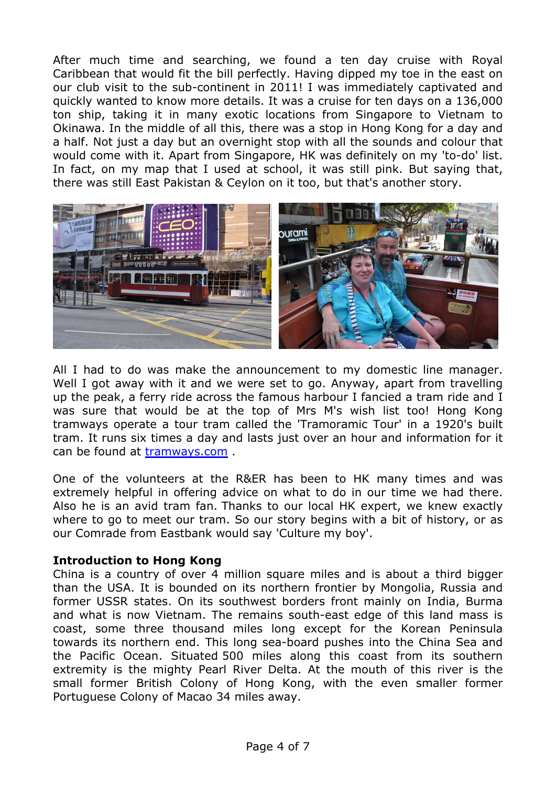After much time and searching, we found a ten day cruise with Royal Caribbean that would fit the bill perfectly. Having dipped my toe in the east on our club visit to the sub-continent in 2011! I was immediately captivated and quickly wanted to know more details. It was a cruise for ten days on a 136,000 ton ship, taking it in many exotic locations from Singapore to Vietnam to Okinawa. In the middle of all this, there was a stop in Hong Kong for a day and a half. Not just a day but an overnight stop with all the sounds and colour that would come with it. Apart from Singapore, HK was definitely on my 'to-do' list. In fact, on my map that I used at school, it was still pink. But saying that, there was still East Pakistan & Ceylon on it too, but that's another story.



All I had to do was make the announcement to my domestic line manager. Well I got away with it and we were set to go. Anyway, apart from travelling up the peak, a ferry ride across the famous harbour I fancied a tram ride and I was sure that would be at the top of Mrs M's wish list too! Hong Kong tramways operate a tour tram called the 'Tramoramic Tour' in a 1920's built tram. It runs six times a day and lasts just over an hour and information for it can be found at [tramways.com](http://tramways.com) .

One of the volunteers at the R&ER has been to HK many times and was extremely helpful in offering advice on what to do in our time we had there. Also he is an avid tram fan. Thanks to our local HK expert, we knew exactly where to go to meet our tram. So our story begins with a bit of history, or as our Comrade from Eastbank would say 'Culture my boy'.

#### **Introduction to Hong Kong**

China is a country of over 4 million square miles and is about a third bigger than the USA. It is bounded on its northern frontier by Mongolia, Russia and former USSR states. On its southwest borders front mainly on India, Burma and what is now Vietnam. The remains south-east edge of this land mass is coast, some three thousand miles long except for the Korean Peninsula towards its northern end. This long sea-board pushes into the China Sea and the Pacific Ocean. Situated 500 miles along this coast from its southern extremity is the mighty Pearl River Delta. At the mouth of this river is the small former British Colony of Hong Kong, with the even smaller former Portuguese Colony of Macao 34 miles away.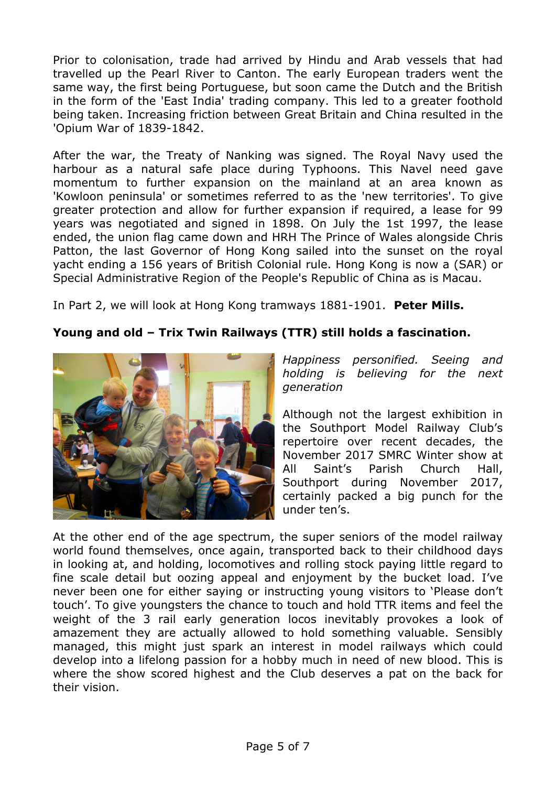Prior to colonisation, trade had arrived by Hindu and Arab vessels that had travelled up the Pearl River to Canton. The early European traders went the same way, the first being Portuguese, but soon came the Dutch and the British in the form of the 'East India' trading company. This led to a greater foothold being taken. Increasing friction between Great Britain and China resulted in the 'Opium War of 1839-1842.

After the war, the Treaty of Nanking was signed. The Royal Navy used the harbour as a natural safe place during Typhoons. This Navel need gave momentum to further expansion on the mainland at an area known as 'Kowloon peninsula' or sometimes referred to as the 'new territories'. To give greater protection and allow for further expansion if required, a lease for 99 years was negotiated and signed in 1898. On July the 1st 1997, the lease ended, the union flag came down and HRH The Prince of Wales alongside Chris Patton, the last Governor of Hong Kong sailed into the sunset on the royal yacht ending a 156 years of British Colonial rule. Hong Kong is now a (SAR) or Special Administrative Region of the People's Republic of China as is Macau.

In Part 2, we will look at Hong Kong tramways 1881-1901. **Peter Mills.**

#### **Young and old – Trix Twin Railways (TTR) still holds a fascination.**



*Happiness personified. Seeing and holding is believing for the next generation*

Although not the largest exhibition in the Southport Model Railway Club's repertoire over recent decades, the November 2017 SMRC Winter show at All Saint's Parish Church Hall, Southport during November 2017, certainly packed a big punch for the under ten's.

At the other end of the age spectrum, the super seniors of the model railway world found themselves, once again, transported back to their childhood days in looking at, and holding, locomotives and rolling stock paying little regard to fine scale detail but oozing appeal and enjoyment by the bucket load. I've never been one for either saying or instructing young visitors to 'Please don't touch'. To give youngsters the chance to touch and hold TTR items and feel the weight of the 3 rail early generation locos inevitably provokes a look of amazement they are actually allowed to hold something valuable. Sensibly managed, this might just spark an interest in model railways which could develop into a lifelong passion for a hobby much in need of new blood. This is where the show scored highest and the Club deserves a pat on the back for their vision.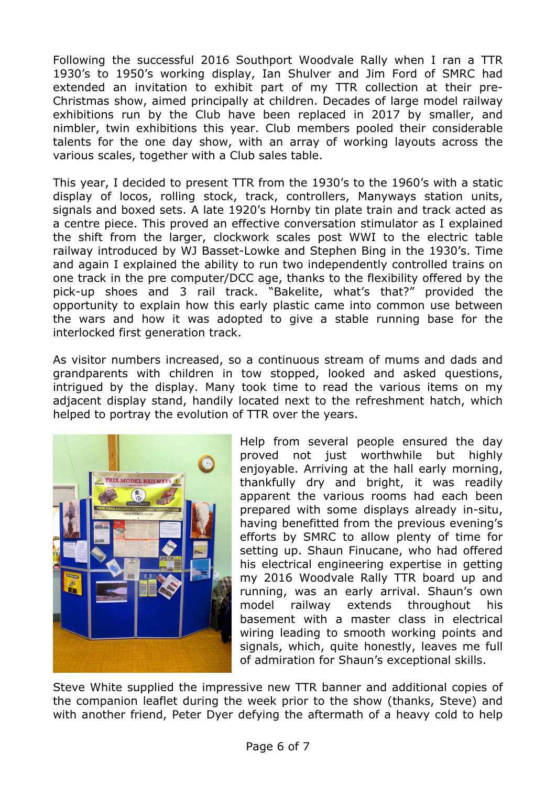Following the successful 2016 Southport Woodvale Rally when I ran a TTR 1930's to 1950's working display, Ian Shulver and Jim Ford of SMRC had extended an invitation to exhibit part of my TTR collection at their pre-Christmas show, aimed principally at children. Decades of large model railway exhibitions run by the Club have been replaced in 2017 by smaller, and nimbler, twin exhibitions this year. Club members pooled their considerable talents for the one day show, with an array of working layouts across the various scales, together with a Club sales table.

This year, I decided to present TTR from the 1930's to the 1960's with a static display of locos, rolling stock, track, controllers, Manyways station units, signals and boxed sets. A late 1920's Hornby tin plate train and track acted as a centre piece. This proved an effective conversation stimulator as I explained the shift from the larger, clockwork scales post WWI to the electric table railway introduced by WJ Basset-Lowke and Stephen Bing in the 1930's. Time and again I explained the ability to run two independently controlled trains on one track in the pre computer/DCC age, thanks to the flexibility offered by the pick-up shoes and 3 rail track. "Bakelite, what's that?" provided the opportunity to explain how this early plastic came into common use between the wars and how it was adopted to give a stable running base for the interlocked first generation track.

As visitor numbers increased, so a continuous stream of mums and dads and grandparents with children in tow stopped, looked and asked questions, intrigued by the display. Many took time to read the various items on my adjacent display stand, handily located next to the refreshment hatch, which helped to portray the evolution of TTR over the years.



Help from several people ensured the day proved not just worthwhile but highly enjoyable. Arriving at the hall early morning, thankfully dry and bright, it was readily apparent the various rooms had each been prepared with some displays already in-situ, having benefitted from the previous evening's efforts by SMRC to allow plenty of time for setting up. Shaun Finucane, who had offered his electrical engineering expertise in getting my 2016 Woodvale Rally TTR board up and running, was an early arrival. Shaun's own model railway extends throughout his basement with a master class in electrical wiring leading to smooth working points and signals, which, quite honestly, leaves me full of admiration for Shaun's exceptional skills.

Steve White supplied the impressive new TTR banner and additional copies of the companion leaflet during the week prior to the show (thanks, Steve) and with another friend, Peter Dyer defying the aftermath of a heavy cold to help